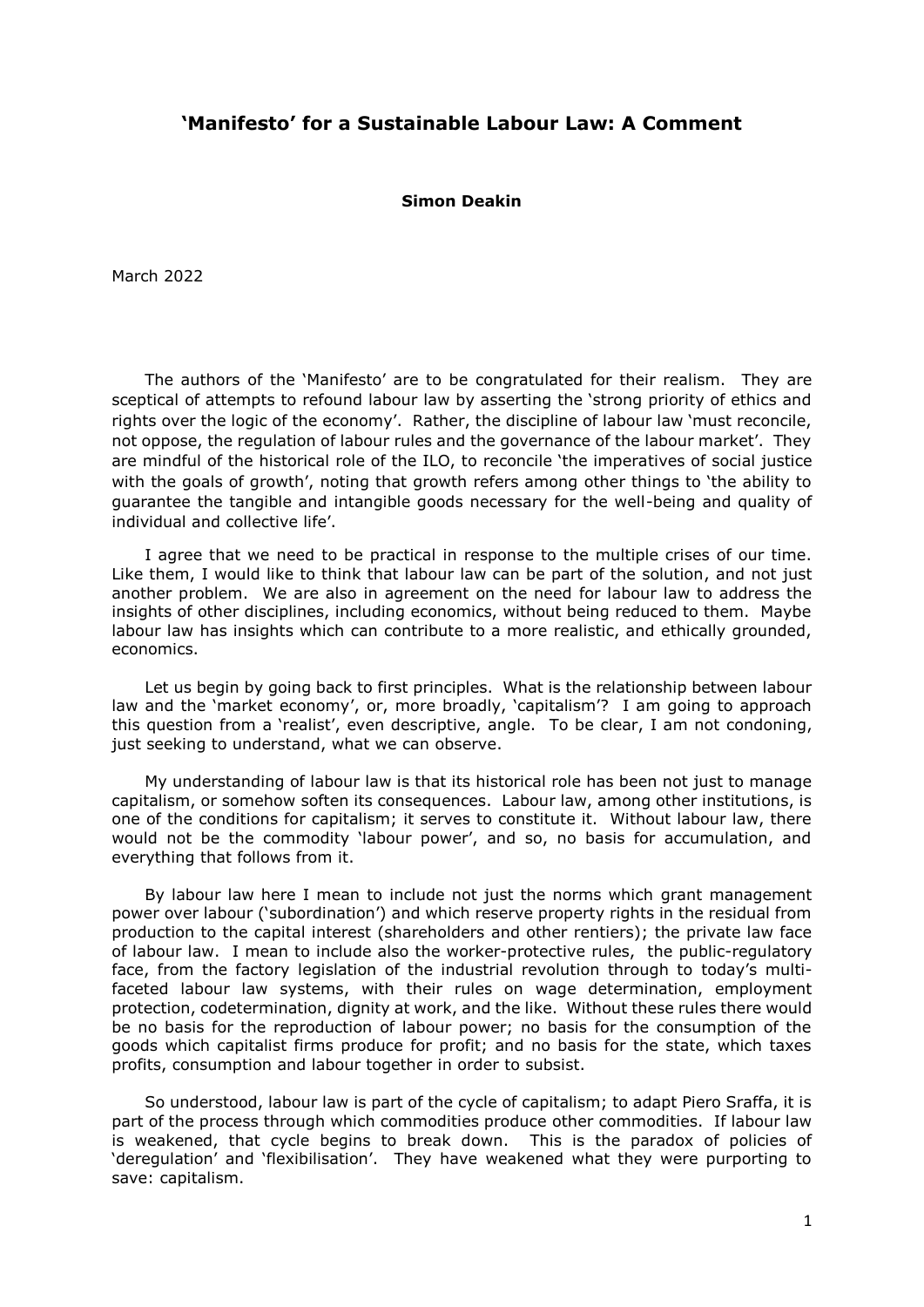## **'Manifesto' for a Sustainable Labour Law: A Comment**

## **Simon Deakin**

March 2022

The authors of the 'Manifesto' are to be congratulated for their realism. They are sceptical of attempts to refound labour law by asserting the 'strong priority of ethics and rights over the logic of the economy'. Rather, the discipline of labour law 'must reconcile, not oppose, the regulation of labour rules and the governance of the labour market'. They are mindful of the historical role of the ILO, to reconcile 'the imperatives of social justice with the goals of growth', noting that growth refers among other things to 'the ability to guarantee the tangible and intangible goods necessary for the well-being and quality of individual and collective life'.

I agree that we need to be practical in response to the multiple crises of our time. Like them, I would like to think that labour law can be part of the solution, and not just another problem. We are also in agreement on the need for labour law to address the insights of other disciplines, including economics, without being reduced to them. Maybe labour law has insights which can contribute to a more realistic, and ethically grounded, economics.

Let us begin by going back to first principles. What is the relationship between labour law and the 'market economy', or, more broadly, 'capitalism'? I am going to approach this question from a 'realist', even descriptive, angle. To be clear, I am not condoning, just seeking to understand, what we can observe.

My understanding of labour law is that its historical role has been not just to manage capitalism, or somehow soften its consequences. Labour law, among other institutions, is one of the conditions for capitalism; it serves to constitute it. Without labour law, there would not be the commodity 'labour power', and so, no basis for accumulation, and everything that follows from it.

By labour law here I mean to include not just the norms which grant management power over labour ('subordination') and which reserve property rights in the residual from production to the capital interest (shareholders and other rentiers); the private law face of labour law. I mean to include also the worker-protective rules, the public-regulatory face, from the factory legislation of the industrial revolution through to today's multifaceted labour law systems, with their rules on wage determination, employment protection, codetermination, dignity at work, and the like. Without these rules there would be no basis for the reproduction of labour power; no basis for the consumption of the goods which capitalist firms produce for profit; and no basis for the state, which taxes profits, consumption and labour together in order to subsist.

So understood, labour law is part of the cycle of capitalism; to adapt Piero Sraffa, it is part of the process through which commodities produce other commodities. If labour law is weakened, that cycle begins to break down. This is the paradox of policies of 'deregulation' and 'flexibilisation'. They have weakened what they were purporting to save: capitalism.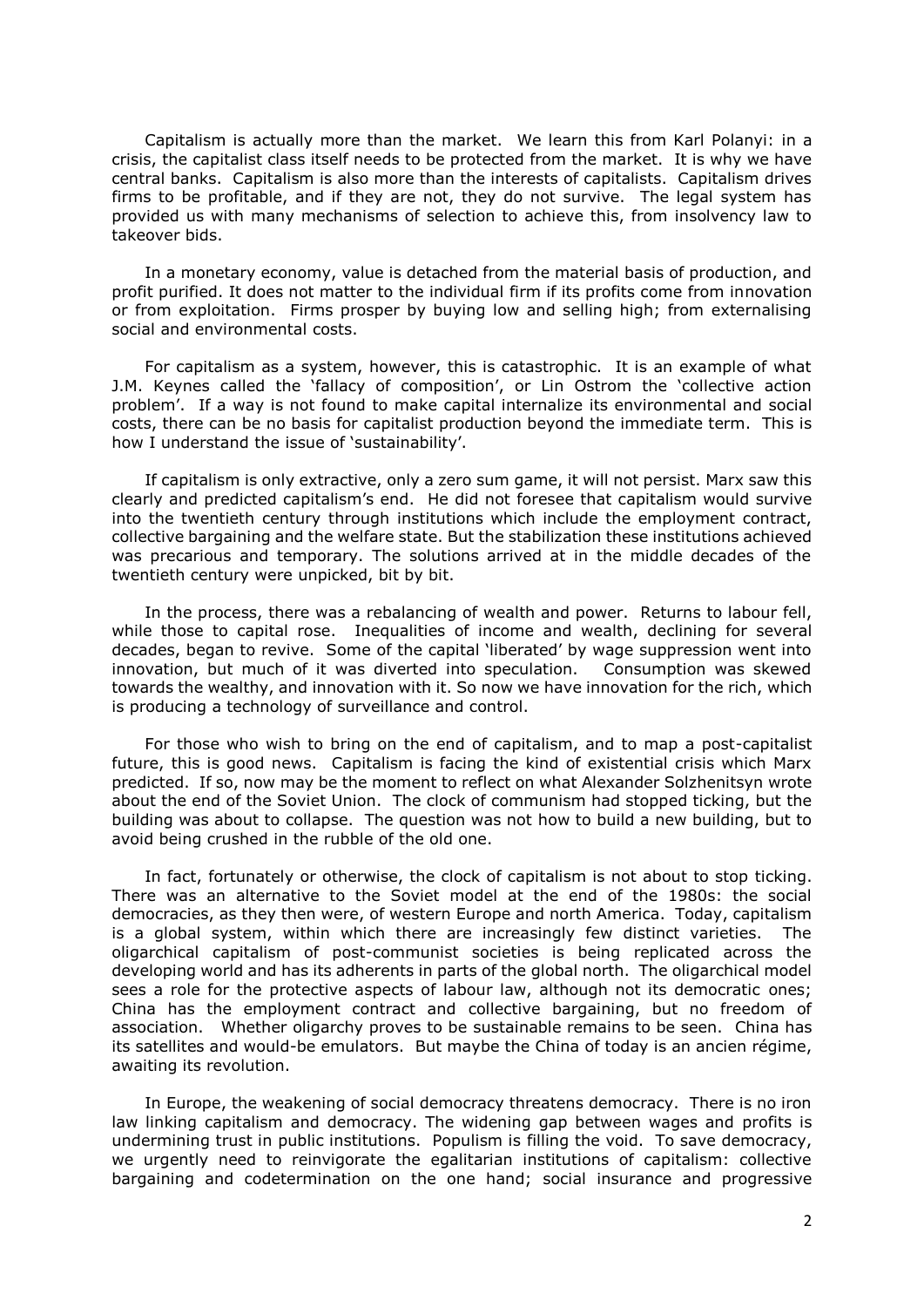Capitalism is actually more than the market. We learn this from Karl Polanyi: in a crisis, the capitalist class itself needs to be protected from the market. It is why we have central banks. Capitalism is also more than the interests of capitalists. Capitalism drives firms to be profitable, and if they are not, they do not survive. The legal system has provided us with many mechanisms of selection to achieve this, from insolvency law to takeover bids.

In a monetary economy, value is detached from the material basis of production, and profit purified. It does not matter to the individual firm if its profits come from innovation or from exploitation. Firms prosper by buying low and selling high; from externalising social and environmental costs.

For capitalism as a system, however, this is catastrophic. It is an example of what J.M. Keynes called the 'fallacy of composition', or Lin Ostrom the 'collective action problem'. If a way is not found to make capital internalize its environmental and social costs, there can be no basis for capitalist production beyond the immediate term. This is how I understand the issue of 'sustainability'.

If capitalism is only extractive, only a zero sum game, it will not persist. Marx saw this clearly and predicted capitalism's end. He did not foresee that capitalism would survive into the twentieth century through institutions which include the employment contract, collective bargaining and the welfare state. But the stabilization these institutions achieved was precarious and temporary. The solutions arrived at in the middle decades of the twentieth century were unpicked, bit by bit.

In the process, there was a rebalancing of wealth and power. Returns to labour fell, while those to capital rose. Inequalities of income and wealth, declining for several decades, began to revive. Some of the capital 'liberated' by wage suppression went into innovation, but much of it was diverted into speculation. Consumption was skewed towards the wealthy, and innovation with it. So now we have innovation for the rich, which is producing a technology of surveillance and control.

For those who wish to bring on the end of capitalism, and to map a post-capitalist future, this is good news. Capitalism is facing the kind of existential crisis which Marx predicted. If so, now may be the moment to reflect on what Alexander Solzhenitsyn wrote about the end of the Soviet Union. The clock of communism had stopped ticking, but the building was about to collapse. The question was not how to build a new building, but to avoid being crushed in the rubble of the old one.

In fact, fortunately or otherwise, the clock of capitalism is not about to stop ticking. There was an alternative to the Soviet model at the end of the 1980s: the social democracies, as they then were, of western Europe and north America. Today, capitalism is a global system, within which there are increasingly few distinct varieties. The oligarchical capitalism of post-communist societies is being replicated across the developing world and has its adherents in parts of the global north. The oligarchical model sees a role for the protective aspects of labour law, although not its democratic ones; China has the employment contract and collective bargaining, but no freedom of association. Whether oligarchy proves to be sustainable remains to be seen. China has its satellites and would-be emulators. But maybe the China of today is an ancien régime, awaiting its revolution.

In Europe, the weakening of social democracy threatens democracy. There is no iron law linking capitalism and democracy. The widening gap between wages and profits is undermining trust in public institutions. Populism is filling the void. To save democracy, we urgently need to reinvigorate the egalitarian institutions of capitalism: collective bargaining and codetermination on the one hand; social insurance and progressive